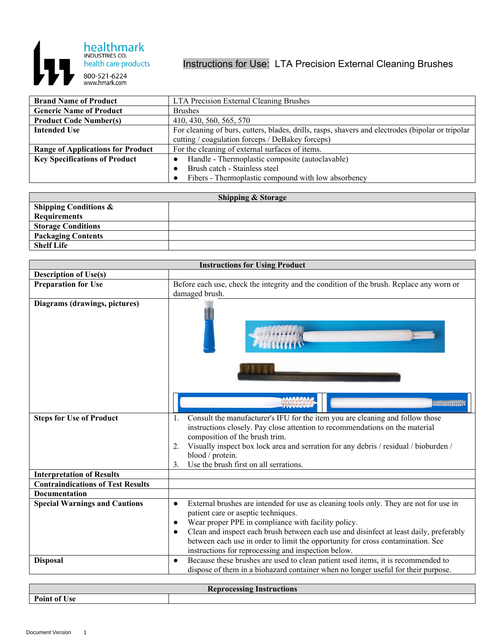

## Instructions for Use: LTA Precision External Cleaning Brushes

| <b>Brand Name of Product</b>             | LTA Precision External Cleaning Brushes                                                           |
|------------------------------------------|---------------------------------------------------------------------------------------------------|
| <b>Generic Name of Product</b>           | <b>Brushes</b>                                                                                    |
| <b>Product Code Number(s)</b>            | 410, 430, 560, 565, 570                                                                           |
| <b>Intended Use</b>                      | For cleaning of burs, cutters, blades, drills, rasps, shavers and electrodes (bipolar or tripolar |
|                                          | cutting / coagulation forceps / DeBakey forceps)                                                  |
| <b>Range of Applications for Product</b> | For the cleaning of external surfaces of items.                                                   |
| <b>Key Specifications of Product</b>     | Handle - Thermoplastic composite (autoclavable)                                                   |
|                                          | Brush catch - Stainless steel                                                                     |
|                                          | Fibers - Thermoplastic compound with low absorbency                                               |

| <b>Shipping &amp; Storage</b>    |  |  |
|----------------------------------|--|--|
| <b>Shipping Conditions &amp;</b> |  |  |
| <b>Requirements</b>              |  |  |
| <b>Storage Conditions</b>        |  |  |
| <b>Packaging Contents</b>        |  |  |
| <b>Shelf Life</b>                |  |  |

| <b>Instructions for Using Product</b>    |                                                                                                                                                                                                                                                                                                                                                                                                                                                                |
|------------------------------------------|----------------------------------------------------------------------------------------------------------------------------------------------------------------------------------------------------------------------------------------------------------------------------------------------------------------------------------------------------------------------------------------------------------------------------------------------------------------|
| <b>Description of Use(s)</b>             |                                                                                                                                                                                                                                                                                                                                                                                                                                                                |
| <b>Preparation for Use</b>               | Before each use, check the integrity and the condition of the brush. Replace any worn or                                                                                                                                                                                                                                                                                                                                                                       |
|                                          | damaged brush.                                                                                                                                                                                                                                                                                                                                                                                                                                                 |
| Diagrams (drawings, pictures)            |                                                                                                                                                                                                                                                                                                                                                                                                                                                                |
|                                          | 1.                                                                                                                                                                                                                                                                                                                                                                                                                                                             |
| <b>Steps for Use of Product</b>          | Consult the manufacturer's IFU for the item you are cleaning and follow those<br>instructions closely. Pay close attention to recommendations on the material<br>composition of the brush trim.<br>Visually inspect box lock area and serration for any debris / residual / bioburden /<br>2.<br>blood / protein.<br>Use the brush first on all serrations.<br>3.                                                                                              |
| <b>Interpretation of Results</b>         |                                                                                                                                                                                                                                                                                                                                                                                                                                                                |
| <b>Contraindications of Test Results</b> |                                                                                                                                                                                                                                                                                                                                                                                                                                                                |
| <b>Documentation</b>                     |                                                                                                                                                                                                                                                                                                                                                                                                                                                                |
| <b>Special Warnings and Cautions</b>     | External brushes are intended for use as cleaning tools only. They are not for use in<br>$\bullet$<br>patient care or aseptic techniques.<br>Wear proper PPE in compliance with facility policy.<br>$\bullet$<br>Clean and inspect each brush between each use and disinfect at least daily, preferably<br>$\bullet$<br>between each use in order to limit the opportunity for cross contamination. See<br>instructions for reprocessing and inspection below. |
| <b>Disposal</b>                          | Because these brushes are used to clean patient used items, it is recommended to<br>$\bullet$<br>dispose of them in a biohazard container when no longer useful for their purpose.                                                                                                                                                                                                                                                                             |

| <b>Instru</b><br>яшы<br><b>OCCASTL</b> |  |
|----------------------------------------|--|
| D<br>Use<br>$\mathbf{O}$               |  |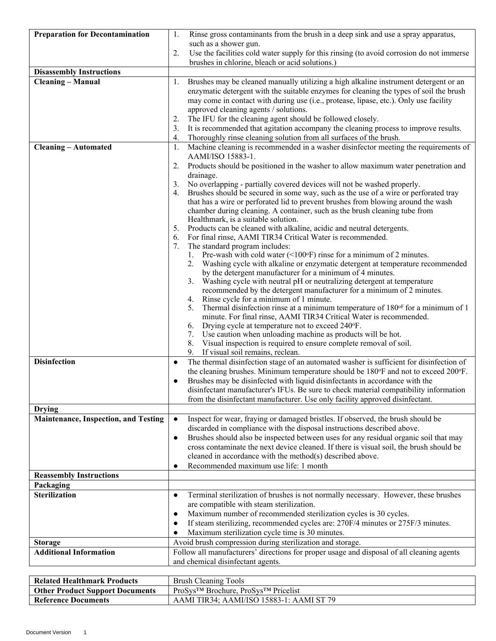| <b>Preparation for Decontamination</b>      | 1.<br>Rinse gross contaminants from the brush in a deep sink and use a spray apparatus,                                                                                           |
|---------------------------------------------|-----------------------------------------------------------------------------------------------------------------------------------------------------------------------------------|
|                                             | such as a shower gun.                                                                                                                                                             |
|                                             | 2.<br>Use the facilities cold water supply for this rinsing (to avoid corrosion do not immerse<br>brushes in chlorine, bleach or acid solutions.)                                 |
| <b>Disassembly Instructions</b>             |                                                                                                                                                                                   |
| <b>Cleaning - Manual</b>                    | Brushes may be cleaned manually utilizing a high alkaline instrument detergent or an<br>1.                                                                                        |
|                                             | enzymatic detergent with the suitable enzymes for cleaning the types of soil the brush                                                                                            |
|                                             | may come in contact with during use (i.e., protease, lipase, etc.). Only use facility                                                                                             |
|                                             | approved cleaning agents / solutions.                                                                                                                                             |
|                                             | The IFU for the cleaning agent should be followed closely.<br>2.                                                                                                                  |
|                                             | It is recommended that agitation accompany the cleaning process to improve results.<br>3.<br>Thoroughly rinse cleaning solution from all surfaces of the brush.<br>4.             |
| <b>Cleaning - Automated</b>                 | Machine cleaning is recommended in a washer disinfector meeting the requirements of<br>1.                                                                                         |
|                                             | AAMI/ISO 15883-1.<br>Products should be positioned in the washer to allow maximum water penetration and<br>2.                                                                     |
|                                             | drainage.                                                                                                                                                                         |
|                                             | No overlapping - partially covered devices will not be washed properly.                                                                                                           |
|                                             | Brushes should be secured in some way, such as the use of a wire or perforated tray<br>4.                                                                                         |
|                                             | that has a wire or perforated lid to prevent brushes from blowing around the wash                                                                                                 |
|                                             | chamber during cleaning. A container, such as the brush cleaning tube from                                                                                                        |
|                                             | Healthmark, is a suitable solution.                                                                                                                                               |
|                                             | Products can be cleaned with alkaline, acidic and neutral detergents.<br>5.<br>For final rinse, AAMI TIR34 Critical Water is recommended.                                         |
|                                             | 6.<br>The standard program includes:<br>7.                                                                                                                                        |
|                                             | 1. Pre-wash with cold water $(\leq 100^\circ F)$ rinse for a minimum of 2 minutes.                                                                                                |
|                                             | 2. Washing cycle with alkaline or enzymatic detergent at temperature recommended                                                                                                  |
|                                             | by the detergent manufacturer for a minimum of 4 minutes.                                                                                                                         |
|                                             | 3. Washing cycle with neutral pH or neutralizing detergent at temperature                                                                                                         |
|                                             | recommended by the detergent manufacturer for a minimum of 2 minutes.                                                                                                             |
|                                             | 4. Rinse cycle for a minimum of 1 minute.<br>Thermal disinfection rinse at a minimum temperature of 180°F for a minimum of 1<br>5.                                                |
|                                             | minute. For final rinse, AAMI TIR34 Critical Water is recommended.                                                                                                                |
|                                             | Drying cycle at temperature not to exceed 240°F.<br>6.                                                                                                                            |
|                                             | 7. Use caution when unloading machine as products will be hot.                                                                                                                    |
|                                             | Visual inspection is required to ensure complete removal of soil.<br>8.                                                                                                           |
|                                             | If visual soil remains, reclean.<br>9.                                                                                                                                            |
| <b>Disinfection</b>                         | The thermal disinfection stage of an automated washer is sufficient for disinfection of<br>$\bullet$                                                                              |
|                                             | the cleaning brushes. Minimum temperature should be 180°F and not to exceed 200°F.                                                                                                |
|                                             | Brushes may be disinfected with liquid disinfectants in accordance with the<br>$\bullet$<br>disinfectant manufacturer's IFUs. Be sure to check material compatibility information |
|                                             | from the disinfectant manufacturer. Use only facility approved disinfectant.                                                                                                      |
| <b>Drying</b>                               |                                                                                                                                                                                   |
| <b>Maintenance, Inspection, and Testing</b> | Inspect for wear, fraying or damaged bristles. If observed, the brush should be<br>$\bullet$                                                                                      |
|                                             | discarded in compliance with the disposal instructions described above.                                                                                                           |
|                                             | Brushes should also be inspected between uses for any residual organic soil that may<br>$\bullet$                                                                                 |
|                                             | cross contaminate the next device cleaned. If there is visual soil, the brush should be                                                                                           |
|                                             | cleaned in accordance with the method(s) described above.                                                                                                                         |
|                                             | Recommended maximum use life: 1 month<br>$\bullet$                                                                                                                                |
| <b>Reassembly Instructions</b><br>Packaging |                                                                                                                                                                                   |
| <b>Sterilization</b>                        | Terminal sterilization of brushes is not normally necessary. However, these brushes<br>$\bullet$                                                                                  |
|                                             | are compatible with steam sterilization.                                                                                                                                          |
|                                             | Maximum number of recommended sterilization cycles is 30 cycles.<br>$\bullet$                                                                                                     |
|                                             | If steam sterilizing, recommended cycles are: 270F/4 minutes or 275F/3 minutes.<br>$\bullet$                                                                                      |
|                                             | Maximum sterilization cycle time is 30 minutes.                                                                                                                                   |
| <b>Storage</b>                              | Avoid brush compression during sterilization and storage.                                                                                                                         |
| <b>Additional Information</b>               | Follow all manufacturers' directions for proper usage and disposal of all cleaning agents                                                                                         |
|                                             | and chemical disinfectant agents.                                                                                                                                                 |
|                                             |                                                                                                                                                                                   |
| <b>Related Healthmark Products</b>          | <b>Brush Cleaning Tools</b>                                                                                                                                                       |

**Other Product Support Documents** ProSys™ Brochure, ProSys™ Pricelist

**Reference Documents** AAMI TIR34; AAMI/ISO 15883-1: AAMI ST 79